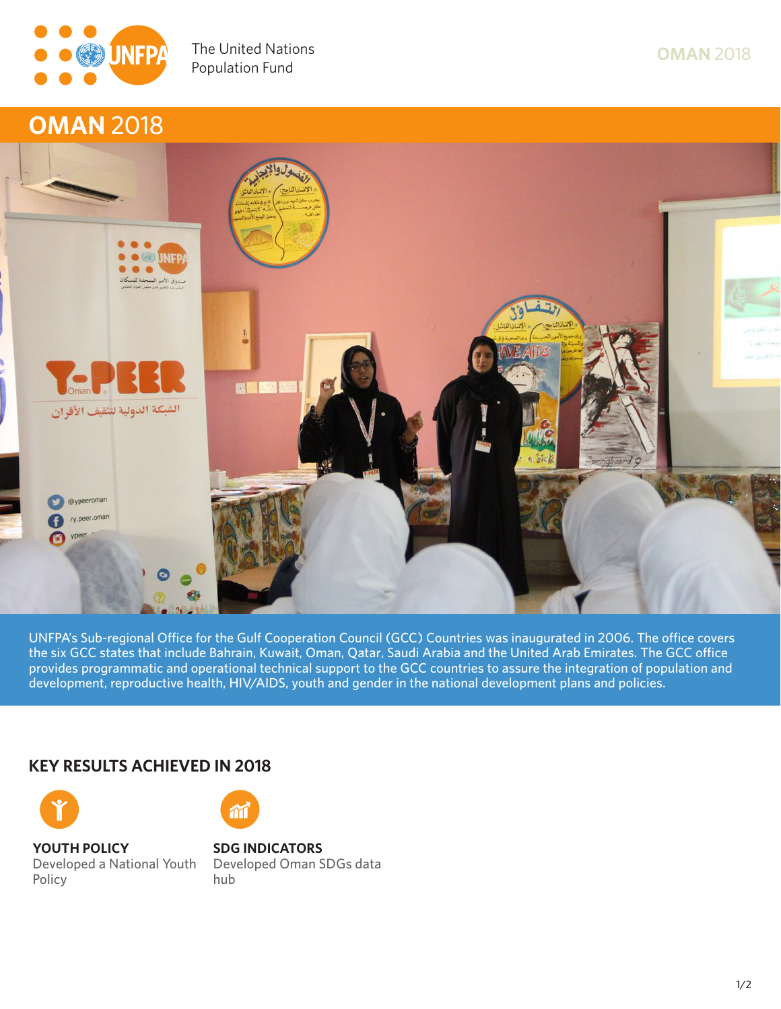

## **Ensuring rights and choices for all since 1969 OMAN 2018**



**UNFPA's Sub-regional Office for the Gulf Cooperation Council (GCC) Countries was inaugurated in 2006. The office covers the six GCC states that include Bahrain, Kuwait, Oman, Qatar, Saudi Arabia and the United Arab Emirates. The GCC office provides programmatic and operational technical support to the GCC countries to assure the integration of population and development, reproductive health, HIV/AIDS, youth and gender in the national development plans and policies.**

## **KEY RESULTS ACHIEVED IN 2018**



**Policy**

**YOUTH POLICY**

## **Developed a National Youth SDG INDICATORS**

**Developed Oman SDGs data hub**